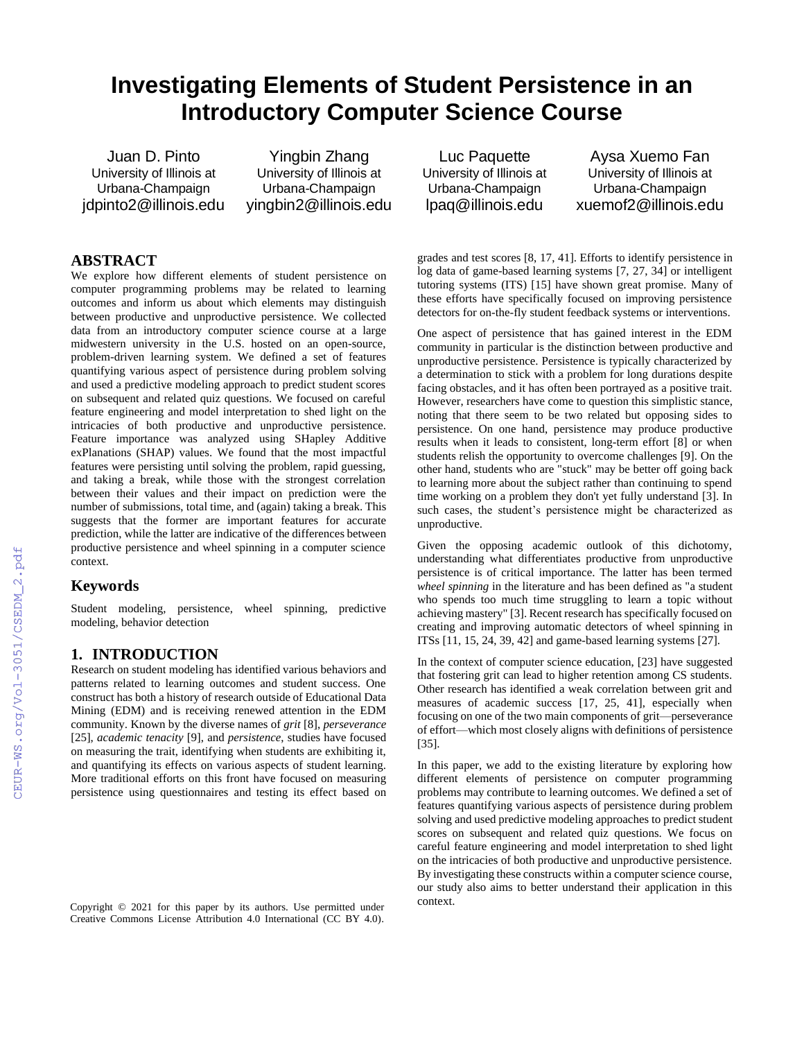# **Investigating Elements of Student Persistence in an Introductory Computer Science Course**

Juan D. Pinto University of Illinois at Urbana-Champaign jdpinto2@illinois.edu

Yingbin Zhang University of Illinois at Urbana-Champaign yingbin2@illinois.edu

# **ABSTRACT**

We explore how different elements of student persistence on computer programming problems may be related to learning outcomes and inform us about which elements may distinguish between productive and unproductive persistence. We collected data from an introductory computer science course at a large midwestern university in the U.S. hosted on an open-source, problem-driven learning system. We defined a set of features quantifying various aspect of persistence during problem solving and used a predictive modeling approach to predict student scores on subsequent and related quiz questions. We focused on careful feature engineering and model interpretation to shed light on the intricacies of both productive and unproductive persistence. Feature importance was analyzed using SHapley Additive exPlanations (SHAP) values. We found that the most impactful features were persisting until solving the problem, rapid guessing, and taking a break, while those with the strongest correlation between their values and their impact on prediction were the number of submissions, total time, and (again) taking a break. This suggests that the former are important features for accurate prediction, while the latter are indicative of the differences between productive persistence and wheel spinning in a computer science context.

### **Keywords**

Student modeling, persistence, wheel spinning, predictive modeling, behavior detection

# **1. INTRODUCTION**

Research on student modeling has identified various behaviors and patterns related to learning outcomes and student success. One construct has both a history of research outside of Educational Data Mining (EDM) and is receiving renewed attention in the EDM community. Known by the diverse names of *grit* [8], *perseverance* [25], *academic tenacity* [9], and *persistence*, studies have focused on measuring the trait, identifying when students are exhibiting it, and quantifying its effects on various aspects of student learning. More traditional efforts on this front have focused on measuring persistence using questionnaires and testing its effect based on

Copyright © 2021 for this paper by its authors. Use permitted under context. Creative Commons License Attribution 4.0 International (CC BY 4.0).

Luc Paquette University of Illinois at Urbana-Champaign lpaq@illinois.edu

Aysa Xuemo Fan University of Illinois at Urbana-Champaign xuemof2@illinois.edu

grades and test scores [8, 17, 41]. Efforts to identify persistence in log data of game-based learning systems [7, 27, 34] or intelligent tutoring systems (ITS) [15] have shown great promise. Many of these efforts have specifically focused on improving persistence detectors for on-the-fly student feedback systems or interventions.

One aspect of persistence that has gained interest in the EDM community in particular is the distinction between productive and unproductive persistence. Persistence is typically characterized by a determination to stick with a problem for long durations despite facing obstacles, and it has often been portrayed as a positive trait. However, researchers have come to question this simplistic stance, noting that there seem to be two related but opposing sides to persistence. On one hand, persistence may produce productive results when it leads to consistent, long-term effort [8] or when students relish the opportunity to overcome challenges [9]. On the other hand, students who are "stuck" may be better off going back to learning more about the subject rather than continuing to spend time working on a problem they don't yet fully understand [3]. In such cases, the student's persistence might be characterized as unproductive.

Given the opposing academic outlook of this dichotomy, understanding what differentiates productive from unproductive persistence is of critical importance. The latter has been termed *wheel spinning* in the literature and has been defined as "a student who spends too much time struggling to learn a topic without achieving mastery" [3]. Recent research has specifically focused on creating and improving automatic detectors of wheel spinning in ITSs [11, 15, 24, 39, 42] and game-based learning systems [27].

In the context of computer science education, [23] have suggested that fostering grit can lead to higher retention among CS students. Other research has identified a weak correlation between grit and measures of academic success [17, 25, 41], especially when focusing on one of the two main components of grit—perseverance of effort—which most closely aligns with definitions of persistence [35].

In this paper, we add to the existing literature by exploring how different elements of persistence on computer programming problems may contribute to learning outcomes. We defined a set of features quantifying various aspects of persistence during problem solving and used predictive modeling approaches to predict student scores on subsequent and related quiz questions. We focus on careful feature engineering and model interpretation to shed light on the intricacies of both productive and unproductive persistence. By investigating these constructs within a computer science course, our study also aims to better understand their application in this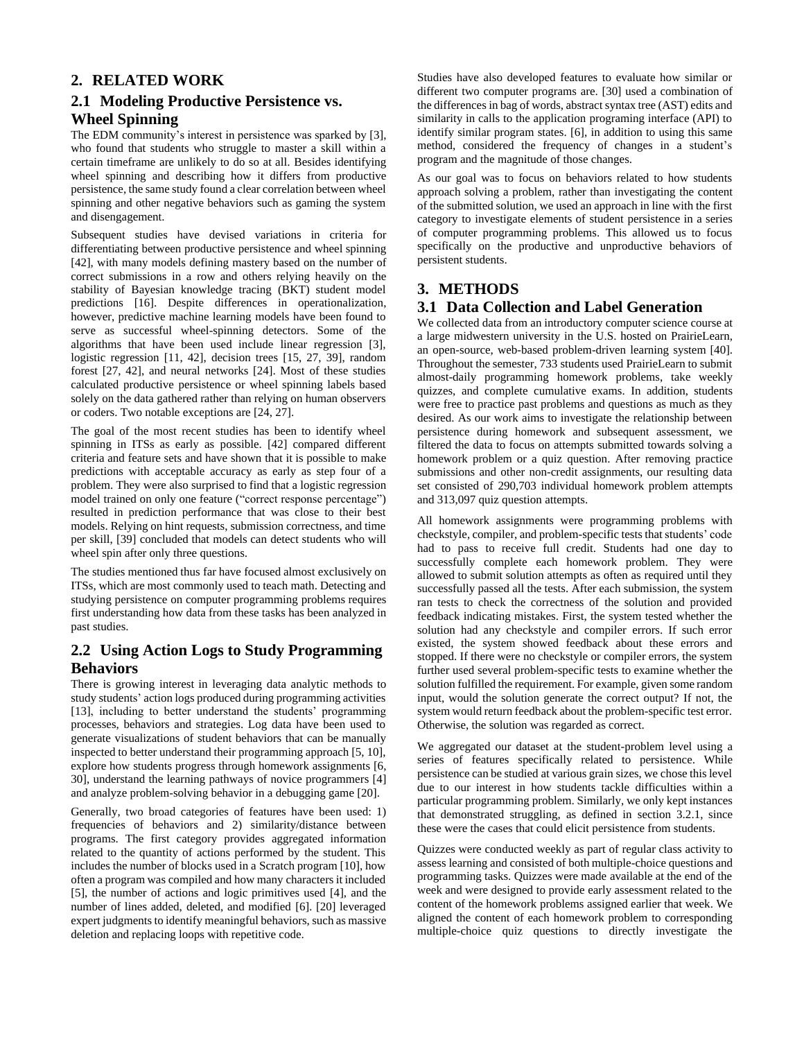# **2. RELATED WORK**

# **2.1 Modeling Productive Persistence vs. Wheel Spinning**

The EDM community's interest in persistence was sparked by [3], who found that students who struggle to master a skill within a certain timeframe are unlikely to do so at all. Besides identifying wheel spinning and describing how it differs from productive persistence, the same study found a clear correlation between wheel spinning and other negative behaviors such as gaming the system and disengagement.

Subsequent studies have devised variations in criteria for differentiating between productive persistence and wheel spinning [42], with many models defining mastery based on the number of correct submissions in a row and others relying heavily on the stability of Bayesian knowledge tracing (BKT) student model predictions [16]. Despite differences in operationalization, however, predictive machine learning models have been found to serve as successful wheel-spinning detectors. Some of the algorithms that have been used include linear regression [3], logistic regression [11, 42], decision trees [15, 27, 39], random forest [27, 42], and neural networks [24]. Most of these studies calculated productive persistence or wheel spinning labels based solely on the data gathered rather than relying on human observers or coders. Two notable exceptions are [24, 27].

The goal of the most recent studies has been to identify wheel spinning in ITSs as early as possible. [42] compared different criteria and feature sets and have shown that it is possible to make predictions with acceptable accuracy as early as step four of a problem. They were also surprised to find that a logistic regression model trained on only one feature ("correct response percentage") resulted in prediction performance that was close to their best models. Relying on hint requests, submission correctness, and time per skill, [39] concluded that models can detect students who will wheel spin after only three questions.

The studies mentioned thus far have focused almost exclusively on ITSs, which are most commonly used to teach math. Detecting and studying persistence on computer programming problems requires first understanding how data from these tasks has been analyzed in past studies.

# **2.2 Using Action Logs to Study Programming Behaviors**

There is growing interest in leveraging data analytic methods to study students' action logs produced during programming activities [13], including to better understand the students' programming processes, behaviors and strategies. Log data have been used to generate visualizations of student behaviors that can be manually inspected to better understand their programming approach [5, 10], explore how students progress through homework assignments [6, 30], understand the learning pathways of novice programmers [4] and analyze problem-solving behavior in a debugging game [20].

Generally, two broad categories of features have been used: 1) frequencies of behaviors and 2) similarity/distance between programs. The first category provides aggregated information related to the quantity of actions performed by the student. This includes the number of blocks used in a Scratch program [10], how often a program was compiled and how many characters it included [5], the number of actions and logic primitives used [4], and the number of lines added, deleted, and modified [6]. [20] leveraged expert judgments to identify meaningful behaviors, such as massive deletion and replacing loops with repetitive code.

Studies have also developed features to evaluate how similar or different two computer programs are. [30] used a combination of the differences in bag of words, abstract syntax tree (AST) edits and similarity in calls to the application programing interface (API) to identify similar program states. [6], in addition to using this same method, considered the frequency of changes in a student's program and the magnitude of those changes.

As our goal was to focus on behaviors related to how students approach solving a problem, rather than investigating the content of the submitted solution, we used an approach in line with the first category to investigate elements of student persistence in a series of computer programming problems. This allowed us to focus specifically on the productive and unproductive behaviors of persistent students.

# **3. METHODS**

# **3.1 Data Collection and Label Generation**

We collected data from an introductory computer science course at a large midwestern university in the U.S. hosted on PrairieLearn, an open-source, web-based problem-driven learning system [40]. Throughout the semester, 733 students used PrairieLearn to submit almost-daily programming homework problems, take weekly quizzes, and complete cumulative exams. In addition, students were free to practice past problems and questions as much as they desired. As our work aims to investigate the relationship between persistence during homework and subsequent assessment, we filtered the data to focus on attempts submitted towards solving a homework problem or a quiz question. After removing practice submissions and other non-credit assignments, our resulting data set consisted of 290,703 individual homework problem attempts and 313,097 quiz question attempts.

All homework assignments were programming problems with checkstyle, compiler, and problem-specific tests that students' code had to pass to receive full credit. Students had one day to successfully complete each homework problem. They were allowed to submit solution attempts as often as required until they successfully passed all the tests. After each submission, the system ran tests to check the correctness of the solution and provided feedback indicating mistakes. First, the system tested whether the solution had any checkstyle and compiler errors. If such error existed, the system showed feedback about these errors and stopped. If there were no checkstyle or compiler errors, the system further used several problem-specific tests to examine whether the solution fulfilled the requirement. For example, given some random input, would the solution generate the correct output? If not, the system would return feedback about the problem-specific test error. Otherwise, the solution was regarded as correct.

We aggregated our dataset at the student-problem level using a series of features specifically related to persistence. While persistence can be studied at various grain sizes, we chose this level due to our interest in how students tackle difficulties within a particular programming problem. Similarly, we only kept instances that demonstrated struggling, as defined in section 3.2.1, since these were the cases that could elicit persistence from students.

Quizzes were conducted weekly as part of regular class activity to assess learning and consisted of both multiple-choice questions and programming tasks. Quizzes were made available at the end of the week and were designed to provide early assessment related to the content of the homework problems assigned earlier that week. We aligned the content of each homework problem to corresponding multiple-choice quiz questions to directly investigate the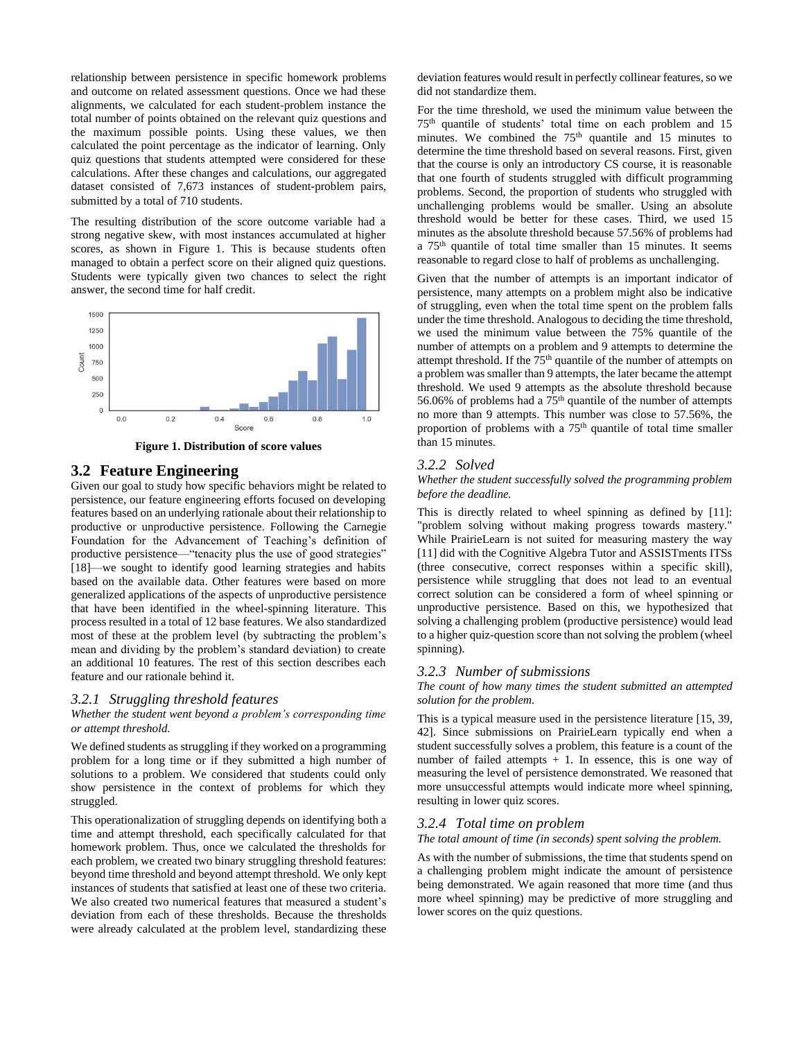relationship between persistence in specific homework problems and outcome on related assessment questions. Once we had these alignments, we calculated for each student-problem instance the total number of points obtained on the relevant quiz questions and the maximum possible points. Using these values, we then calculated the point percentage as the indicator of learning. Only quiz questions that students attempted were considered for these calculations. After these changes and calculations, our aggregated dataset consisted of 7,673 instances of student-problem pairs, submitted by a total of 710 students.

The resulting distribution of the score outcome variable had a strong negative skew, with most instances accumulated at higher scores, as shown in Figure 1. This is because students often managed to obtain a perfect score on their aligned quiz questions. Students were typically given two chances to select the right answer, the second time for half credit.



**Figure 1. Distribution of score values**

### **3.2 Feature Engineering**

Given our goal to study how specific behaviors might be related to persistence, our feature engineering efforts focused on developing features based on an underlying rationale about their relationship to productive or unproductive persistence. Following the Carnegie Foundation for the Advancement of Teaching's definition of productive persistence—"tenacity plus the use of good strategies" [18]—we sought to identify good learning strategies and habits based on the available data. Other features were based on more generalized applications of the aspects of unproductive persistence that have been identified in the wheel-spinning literature. This process resulted in a total of 12 base features. We also standardized most of these at the problem level (by subtracting the problem's mean and dividing by the problem's standard deviation) to create an additional 10 features. The rest of this section describes each feature and our rationale behind it.

### *3.2.1 Struggling threshold features*

#### *Whether the student went beyond a problem's corresponding time or attempt threshold.*

We defined students as struggling if they worked on a programming problem for a long time or if they submitted a high number of solutions to a problem. We considered that students could only show persistence in the context of problems for which they struggled.

This operationalization of struggling depends on identifying both a time and attempt threshold, each specifically calculated for that homework problem. Thus, once we calculated the thresholds for each problem, we created two binary struggling threshold features: beyond time threshold and beyond attempt threshold. We only kept instances of students that satisfied at least one of these two criteria. We also created two numerical features that measured a student's deviation from each of these thresholds. Because the thresholds were already calculated at the problem level, standardizing these deviation features would result in perfectly collinear features, so we did not standardize them.

For the time threshold, we used the minimum value between the 75th quantile of students' total time on each problem and 15 minutes. We combined the 75<sup>th</sup> quantile and 15 minutes to determine the time threshold based on several reasons. First, given that the course is only an introductory CS course, it is reasonable that one fourth of students struggled with difficult programming problems. Second, the proportion of students who struggled with unchallenging problems would be smaller. Using an absolute threshold would be better for these cases. Third, we used 15 minutes as the absolute threshold because 57.56% of problems had a 75th quantile of total time smaller than 15 minutes. It seems reasonable to regard close to half of problems as unchallenging.

Given that the number of attempts is an important indicator of persistence, many attempts on a problem might also be indicative of struggling, even when the total time spent on the problem falls under the time threshold. Analogous to deciding the time threshold, we used the minimum value between the 75% quantile of the number of attempts on a problem and 9 attempts to determine the attempt threshold. If the  $75<sup>th</sup>$  quantile of the number of attempts on a problem was smaller than 9 attempts, the later became the attempt threshold. We used 9 attempts as the absolute threshold because 56.06% of problems had a 75th quantile of the number of attempts no more than 9 attempts. This number was close to 57.56%, the proportion of problems with a 75th quantile of total time smaller than 15 minutes.

### *3.2.2 Solved*

#### *Whether the student successfully solved the programming problem before the deadline.*

This is directly related to wheel spinning as defined by [11]: "problem solving without making progress towards mastery." While PrairieLearn is not suited for measuring mastery the way [11] did with the Cognitive Algebra Tutor and ASSISTments ITSs (three consecutive, correct responses within a specific skill), persistence while struggling that does not lead to an eventual correct solution can be considered a form of wheel spinning or unproductive persistence. Based on this, we hypothesized that solving a challenging problem (productive persistence) would lead to a higher quiz-question score than not solving the problem (wheel spinning).

#### *3.2.3 Number of submissions*

*The count of how many times the student submitted an attempted solution for the problem.*

This is a typical measure used in the persistence literature [15, 39, 42]. Since submissions on PrairieLearn typically end when a student successfully solves a problem, this feature is a count of the number of failed attempts  $+1$ . In essence, this is one way of measuring the level of persistence demonstrated. We reasoned that more unsuccessful attempts would indicate more wheel spinning, resulting in lower quiz scores.

### *3.2.4 Total time on problem*

*The total amount of time (in seconds) spent solving the problem.*

As with the number of submissions, the time that students spend on a challenging problem might indicate the amount of persistence being demonstrated. We again reasoned that more time (and thus more wheel spinning) may be predictive of more struggling and lower scores on the quiz questions.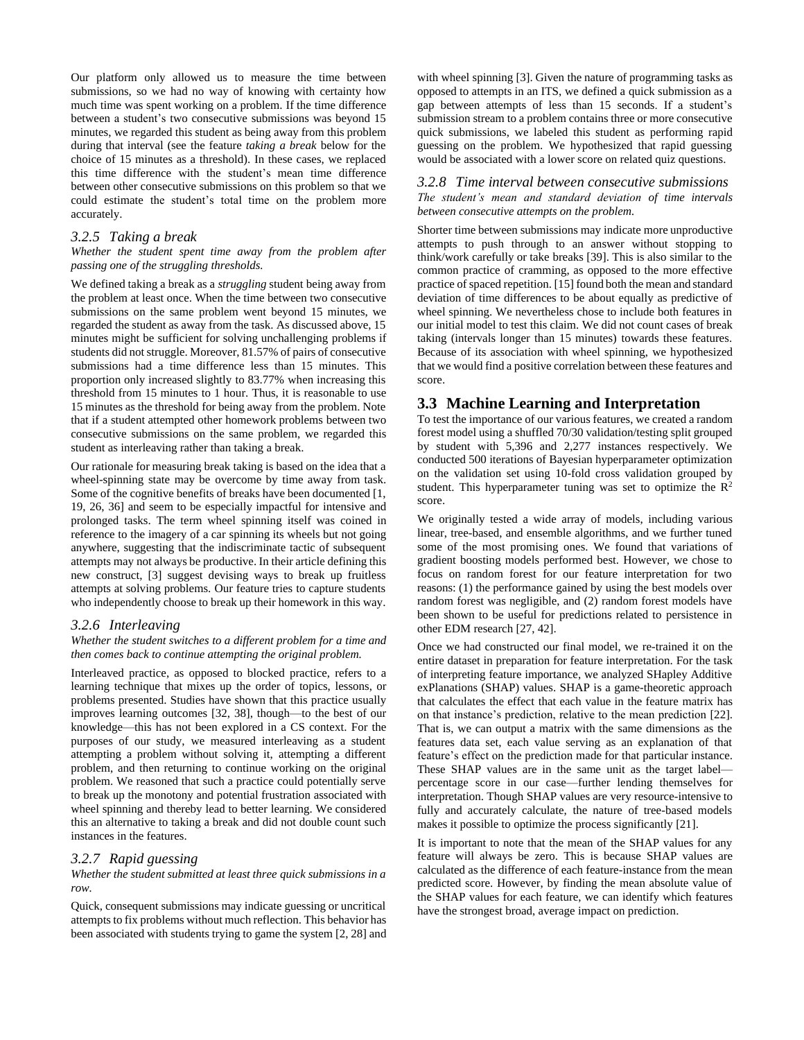Our platform only allowed us to measure the time between submissions, so we had no way of knowing with certainty how much time was spent working on a problem. If the time difference between a student's two consecutive submissions was beyond 15 minutes, we regarded this student as being away from this problem during that interval (see the feature *taking a break* below for the choice of 15 minutes as a threshold). In these cases, we replaced this time difference with the student's mean time difference between other consecutive submissions on this problem so that we could estimate the student's total time on the problem more accurately.

### *3.2.5 Taking a break*

#### *Whether the student spent time away from the problem after passing one of the struggling thresholds.*

We defined taking a break as a *struggling* student being away from the problem at least once. When the time between two consecutive submissions on the same problem went beyond 15 minutes, we regarded the student as away from the task. As discussed above, 15 minutes might be sufficient for solving unchallenging problems if students did not struggle. Moreover, 81.57% of pairs of consecutive submissions had a time difference less than 15 minutes. This proportion only increased slightly to 83.77% when increasing this threshold from 15 minutes to 1 hour. Thus, it is reasonable to use 15 minutes as the threshold for being away from the problem. Note that if a student attempted other homework problems between two consecutive submissions on the same problem, we regarded this student as interleaving rather than taking a break.

Our rationale for measuring break taking is based on the idea that a wheel-spinning state may be overcome by time away from task. Some of the cognitive benefits of breaks have been documented [1, 19, 26, 36] and seem to be especially impactful for intensive and prolonged tasks. The term wheel spinning itself was coined in reference to the imagery of a car spinning its wheels but not going anywhere, suggesting that the indiscriminate tactic of subsequent attempts may not always be productive. In their article defining this new construct, [3] suggest devising ways to break up fruitless attempts at solving problems. Our feature tries to capture students who independently choose to break up their homework in this way.

#### *3.2.6 Interleaving*

#### *Whether the student switches to a different problem for a time and then comes back to continue attempting the original problem.*

Interleaved practice, as opposed to blocked practice, refers to a learning technique that mixes up the order of topics, lessons, or problems presented. Studies have shown that this practice usually improves learning outcomes [32, 38], though—to the best of our knowledge—this has not been explored in a CS context. For the purposes of our study, we measured interleaving as a student attempting a problem without solving it, attempting a different problem, and then returning to continue working on the original problem. We reasoned that such a practice could potentially serve to break up the monotony and potential frustration associated with wheel spinning and thereby lead to better learning. We considered this an alternative to taking a break and did not double count such instances in the features.

#### *3.2.7 Rapid guessing*

#### *Whether the student submitted at least three quick submissions in a row.*

Quick, consequent submissions may indicate guessing or uncritical attempts to fix problems without much reflection. This behavior has been associated with students trying to game the system [2, 28] and

with wheel spinning [3]. Given the nature of programming tasks as opposed to attempts in an ITS, we defined a quick submission as a gap between attempts of less than 15 seconds. If a student's submission stream to a problem contains three or more consecutive quick submissions, we labeled this student as performing rapid guessing on the problem. We hypothesized that rapid guessing would be associated with a lower score on related quiz questions.

#### *3.2.8 Time interval between consecutive submissions The student's mean and standard deviation of time intervals between consecutive attempts on the problem.*

Shorter time between submissions may indicate more unproductive attempts to push through to an answer without stopping to think/work carefully or take breaks [39]. This is also similar to the common practice of cramming, as opposed to the more effective practice of spaced repetition. [15] found both the mean and standard deviation of time differences to be about equally as predictive of wheel spinning. We nevertheless chose to include both features in our initial model to test this claim. We did not count cases of break taking (intervals longer than 15 minutes) towards these features. Because of its association with wheel spinning, we hypothesized that we would find a positive correlation between these features and score.

### **3.3 Machine Learning and Interpretation**

To test the importance of our various features, we created a random forest model using a shuffled 70/30 validation/testing split grouped by student with 5,396 and 2,277 instances respectively. We conducted 500 iterations of Bayesian hyperparameter optimization on the validation set using 10-fold cross validation grouped by student. This hyperparameter tuning was set to optimize the  $R^2$ score.

We originally tested a wide array of models, including various linear, tree-based, and ensemble algorithms, and we further tuned some of the most promising ones. We found that variations of gradient boosting models performed best. However, we chose to focus on random forest for our feature interpretation for two reasons: (1) the performance gained by using the best models over random forest was negligible, and (2) random forest models have been shown to be useful for predictions related to persistence in other EDM research [27, 42].

Once we had constructed our final model, we re-trained it on the entire dataset in preparation for feature interpretation. For the task of interpreting feature importance, we analyzed SHapley Additive exPlanations (SHAP) values. SHAP is a game-theoretic approach that calculates the effect that each value in the feature matrix has on that instance's prediction, relative to the mean prediction [22]. That is, we can output a matrix with the same dimensions as the features data set, each value serving as an explanation of that feature's effect on the prediction made for that particular instance. These SHAP values are in the same unit as the target label percentage score in our case—further lending themselves for interpretation. Though SHAP values are very resource-intensive to fully and accurately calculate, the nature of tree-based models makes it possible to optimize the process significantly [21].

It is important to note that the mean of the SHAP values for any feature will always be zero. This is because SHAP values are calculated as the difference of each feature-instance from the mean predicted score. However, by finding the mean absolute value of the SHAP values for each feature, we can identify which features have the strongest broad, average impact on prediction.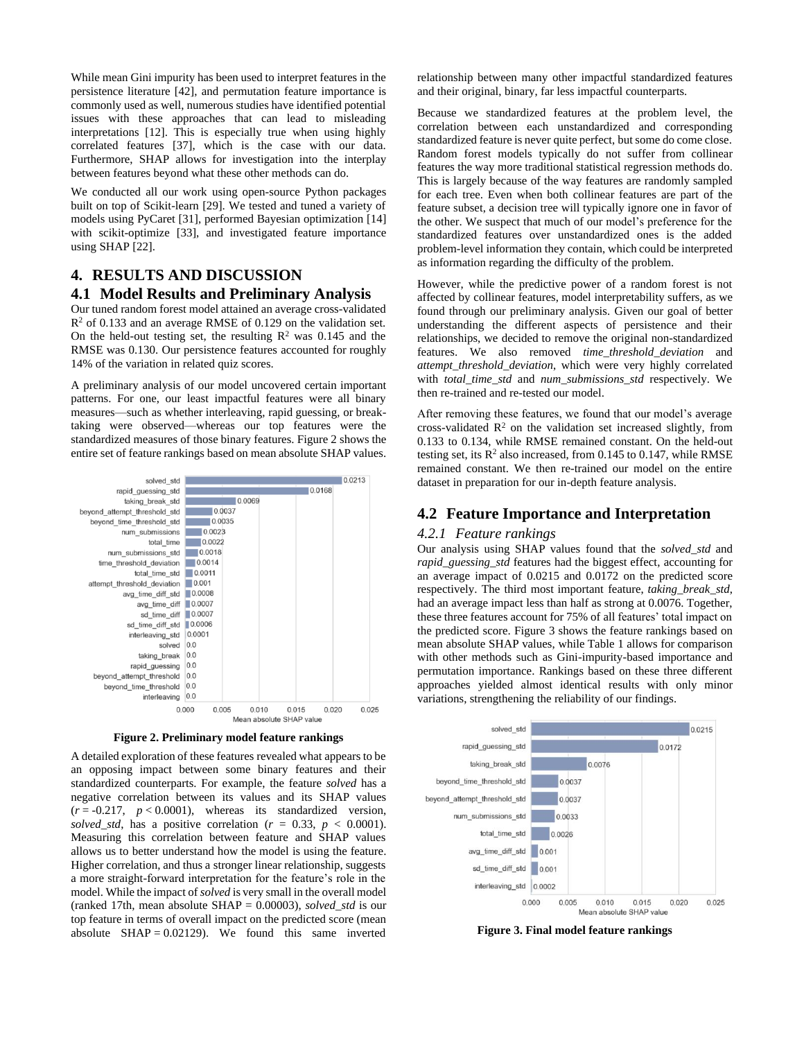While mean Gini impurity has been used to interpret features in the persistence literature [42], and permutation feature importance is commonly used as well, numerous studies have identified potential issues with these approaches that can lead to misleading interpretations [12]. This is especially true when using highly correlated features [37], which is the case with our data. Furthermore, SHAP allows for investigation into the interplay between features beyond what these other methods can do.

We conducted all our work using open-source Python packages built on top of Scikit-learn [29]. We tested and tuned a variety of models using PyCaret [31], performed Bayesian optimization [14] with scikit-optimize [33], and investigated feature importance using SHAP [22].

# **4. RESULTS AND DISCUSSION 4.1 Model Results and Preliminary Analysis**

Our tuned random forest model attained an average cross-validated R<sup>2</sup> of 0.133 and an average RMSE of 0.129 on the validation set. On the held-out testing set, the resulting  $\mathbb{R}^2$  was 0.145 and the RMSE was 0.130. Our persistence features accounted for roughly 14% of the variation in related quiz scores.

A preliminary analysis of our model uncovered certain important patterns. For one, our least impactful features were all binary measures—such as whether interleaving, rapid guessing, or breaktaking were observed—whereas our top features were the standardized measures of those binary features. Figure 2 shows the entire set of feature rankings based on mean absolute SHAP values.



**Figure 2. Preliminary model feature rankings**

A detailed exploration of these features revealed what appears to be an opposing impact between some binary features and their standardized counterparts. For example, the feature *solved* has a negative correlation between its values and its SHAP values  $(r = -0.217, p < 0.0001)$ , whereas its standardized version, *solved\_std*, has a positive correlation ( $r = 0.33$ ,  $p < 0.0001$ ). Measuring this correlation between feature and SHAP values allows us to better understand how the model is using the feature. Higher correlation, and thus a stronger linear relationship, suggests a more straight-forward interpretation for the feature's role in the model. While the impact of *solved* is very small in the overall model (ranked 17th, mean absolute  $SHAP = 0.00003$ ), *solved* std is our top feature in terms of overall impact on the predicted score (mean absolute  $SHAP = 0.02129$ . We found this same inverted

relationship between many other impactful standardized features and their original, binary, far less impactful counterparts.

Because we standardized features at the problem level, the correlation between each unstandardized and corresponding standardized feature is never quite perfect, but some do come close. Random forest models typically do not suffer from collinear features the way more traditional statistical regression methods do. This is largely because of the way features are randomly sampled for each tree. Even when both collinear features are part of the feature subset, a decision tree will typically ignore one in favor of the other. We suspect that much of our model's preference for the standardized features over unstandardized ones is the added problem-level information they contain, which could be interpreted as information regarding the difficulty of the problem.

However, while the predictive power of a random forest is not affected by collinear features, model interpretability suffers, as we found through our preliminary analysis. Given our goal of better understanding the different aspects of persistence and their relationships, we decided to remove the original non-standardized features. We also removed *time\_threshold\_deviation* and *attempt\_threshold\_deviation*, which were very highly correlated with *total\_time\_std* and *num\_submissions\_std* respectively. We then re-trained and re-tested our model.

After removing these features, we found that our model's average cross-validated  $\mathbb{R}^2$  on the validation set increased slightly, from 0.133 to 0.134, while RMSE remained constant. On the held-out testing set, its  $R^2$  also increased, from 0.145 to 0.147, while RMSE remained constant. We then re-trained our model on the entire dataset in preparation for our in-depth feature analysis.

# **4.2 Feature Importance and Interpretation**

### *4.2.1 Feature rankings*

Our analysis using SHAP values found that the *solved\_std* and *rapid\_guessing\_std* features had the biggest effect, accounting for an average impact of 0.0215 and 0.0172 on the predicted score respectively. The third most important feature, *taking\_break\_std*, had an average impact less than half as strong at 0.0076. Together, these three features account for 75% of all features' total impact on the predicted score. Figure 3 shows the feature rankings based on mean absolute SHAP values, while Table 1 allows for comparison with other methods such as Gini-impurity-based importance and permutation importance. Rankings based on these three different approaches yielded almost identical results with only minor variations, strengthening the reliability of our findings.



**Figure 3. Final model feature rankings**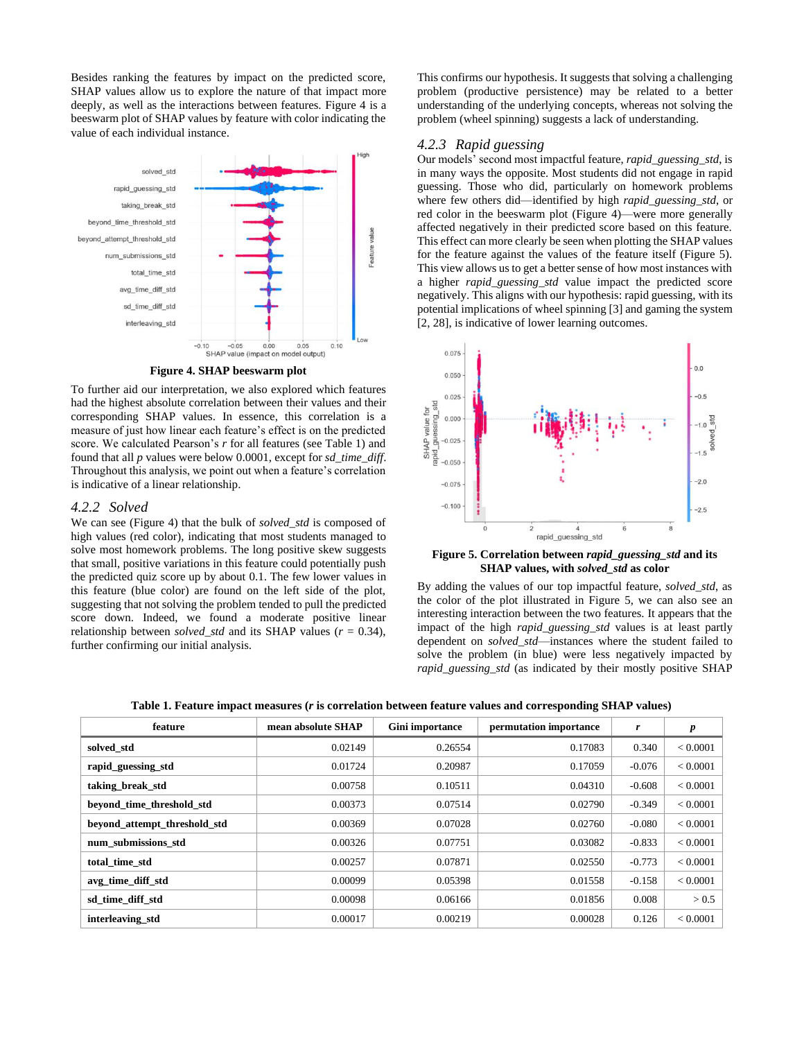Besides ranking the features by impact on the predicted score, SHAP values allow us to explore the nature of that impact more deeply, as well as the interactions between features. Figure 4 is a beeswarm plot of SHAP values by feature with color indicating the value of each individual instance.



**Figure 4. SHAP beeswarm plot**

To further aid our interpretation, we also explored which features had the highest absolute correlation between their values and their corresponding SHAP values. In essence, this correlation is a measure of just how linear each feature's effect is on the predicted score. We calculated Pearson's *r* for all features (see Table 1) and found that all *p* values were below 0.0001, except for *sd\_time\_diff*. Throughout this analysis, we point out when a feature's correlation is indicative of a linear relationship.

#### *4.2.2 Solved*

We can see (Figure 4) that the bulk of *solved* std is composed of high values (red color), indicating that most students managed to solve most homework problems. The long positive skew suggests that small, positive variations in this feature could potentially push the predicted quiz score up by about 0.1. The few lower values in this feature (blue color) are found on the left side of the plot, suggesting that not solving the problem tended to pull the predicted score down. Indeed, we found a moderate positive linear relationship between *solved\_std* and its SHAP values (*r* = 0.34), further confirming our initial analysis.

This confirms our hypothesis. It suggests that solving a challenging problem (productive persistence) may be related to a better understanding of the underlying concepts, whereas not solving the problem (wheel spinning) suggests a lack of understanding.

### *4.2.3 Rapid guessing*

Our models' second most impactful feature, *rapid\_guessing\_std*, is in many ways the opposite. Most students did not engage in rapid guessing. Those who did, particularly on homework problems where few others did—identified by high *rapid\_guessing\_std*, or red color in the beeswarm plot (Figure 4)—were more generally affected negatively in their predicted score based on this feature. This effect can more clearly be seen when plotting the SHAP values for the feature against the values of the feature itself (Figure 5). This view allows us to get a better sense of how most instances with a higher *rapid\_guessing\_std* value impact the predicted score negatively. This aligns with our hypothesis: rapid guessing, with its potential implications of wheel spinning [3] and gaming the system [2, 28], is indicative of lower learning outcomes.



**Figure 5. Correlation between** *rapid\_guessing\_std* **and its SHAP values, with** *solved\_std* **as color**

By adding the values of our top impactful feature, *solved\_std*, as the color of the plot illustrated in Figure 5, we can also see an interesting interaction between the two features. It appears that the impact of the high *rapid\_guessing\_std* values is at least partly dependent on *solved\_std*—instances where the student failed to solve the problem (in blue) were less negatively impacted by *rapid\_guessing\_std* (as indicated by their mostly positive SHAP

| feature                      | mean absolute SHAP | <b>Gini</b> importance | permutation importance | r        | p        |
|------------------------------|--------------------|------------------------|------------------------|----------|----------|
| solved std                   | 0.02149            | 0.26554                | 0.17083                | 0.340    | < 0.0001 |
| rapid guessing std           | 0.01724            | 0.20987                | 0.17059                | $-0.076$ | < 0.0001 |
| taking break std             | 0.00758            | 0.10511                | 0.04310                | $-0.608$ | < 0.0001 |
| beyond time threshold std    | 0.00373            | 0.07514                | 0.02790                | $-0.349$ | < 0.0001 |
| beyond_attempt_threshold_std | 0.00369            | 0.07028                | 0.02760                | $-0.080$ | < 0.0001 |
| num submissions std          | 0.00326            | 0.07751                | 0.03082                | $-0.833$ | < 0.0001 |
| total time std               | 0.00257            | 0.07871                | 0.02550                | $-0.773$ | < 0.0001 |
| avg time diff std            | 0.00099            | 0.05398                | 0.01558                | $-0.158$ | < 0.0001 |
| sd time diff std             | 0.00098            | 0.06166                | 0.01856                | 0.008    | > 0.5    |
| interleaving std             | 0.00017            | 0.00219                | 0.00028                | 0.126    | < 0.0001 |

**Table 1. Feature impact measures (***r* **is correlation between feature values and corresponding SHAP values)**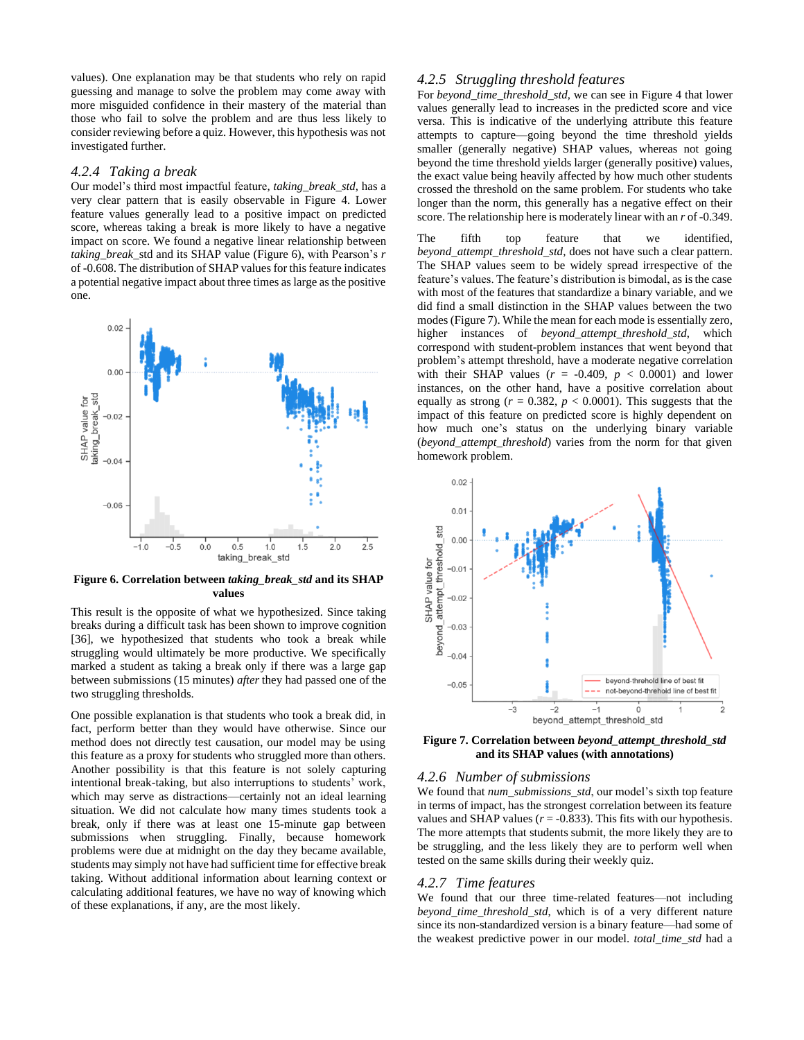values). One explanation may be that students who rely on rapid guessing and manage to solve the problem may come away with more misguided confidence in their mastery of the material than those who fail to solve the problem and are thus less likely to consider reviewing before a quiz. However, this hypothesis was not investigated further.

#### *4.2.4 Taking a break*

Our model's third most impactful feature, *taking\_break\_std*, has a very clear pattern that is easily observable in Figure 4. Lower feature values generally lead to a positive impact on predicted score, whereas taking a break is more likely to have a negative impact on score. We found a negative linear relationship between *taking\_break\_*std and its SHAP value (Figure 6), with Pearson's *r* of -0.608. The distribution of SHAP values for this feature indicates a potential negative impact about three times as large as the positive one.



**Figure 6. Correlation between** *taking\_break\_std* **and its SHAP values**

This result is the opposite of what we hypothesized. Since taking breaks during a difficult task has been shown to improve cognition [36], we hypothesized that students who took a break while struggling would ultimately be more productive. We specifically marked a student as taking a break only if there was a large gap between submissions (15 minutes) *after* they had passed one of the two struggling thresholds.

One possible explanation is that students who took a break did, in fact, perform better than they would have otherwise. Since our method does not directly test causation, our model may be using this feature as a proxy for students who struggled more than others. Another possibility is that this feature is not solely capturing intentional break-taking, but also interruptions to students' work, which may serve as distractions—certainly not an ideal learning situation. We did not calculate how many times students took a break, only if there was at least one 15-minute gap between submissions when struggling. Finally, because homework problems were due at midnight on the day they became available, students may simply not have had sufficient time for effective break taking. Without additional information about learning context or calculating additional features, we have no way of knowing which of these explanations, if any, are the most likely.

### *4.2.5 Struggling threshold features*

For *beyond\_time\_threshold\_std*, we can see in Figure 4 that lower values generally lead to increases in the predicted score and vice versa. This is indicative of the underlying attribute this feature attempts to capture—going beyond the time threshold yields smaller (generally negative) SHAP values, whereas not going beyond the time threshold yields larger (generally positive) values, the exact value being heavily affected by how much other students crossed the threshold on the same problem. For students who take longer than the norm, this generally has a negative effect on their score. The relationship here is moderately linear with an *r* of -0.349.

The fifth top feature that we identified, *beyond\_attempt\_threshold\_std*, does not have such a clear pattern. The SHAP values seem to be widely spread irrespective of the feature's values. The feature's distribution is bimodal, as is the case with most of the features that standardize a binary variable, and we did find a small distinction in the SHAP values between the two modes (Figure 7). While the mean for each mode is essentially zero, higher instances of *beyond\_attempt\_threshold\_std*, which correspond with student-problem instances that went beyond that problem's attempt threshold, have a moderate negative correlation with their SHAP values  $(r = -0.409, p < 0.0001)$  and lower instances, on the other hand, have a positive correlation about equally as strong ( $r = 0.382$ ,  $p < 0.0001$ ). This suggests that the impact of this feature on predicted score is highly dependent on how much one's status on the underlying binary variable (*beyond\_attempt\_threshold*) varies from the norm for that given homework problem.



**Figure 7. Correlation between** *beyond\_attempt\_threshold\_std* **and its SHAP values (with annotations)**

### *4.2.6 Number of submissions*

We found that *num\_submissions\_std*, our model's sixth top feature in terms of impact, has the strongest correlation between its feature values and SHAP values  $(r = -0.833)$ . This fits with our hypothesis. The more attempts that students submit, the more likely they are to be struggling, and the less likely they are to perform well when tested on the same skills during their weekly quiz.

#### *4.2.7 Time features*

We found that our three time-related features—not including *beyond\_time\_threshold\_std*, which is of a very different nature since its non-standardized version is a binary feature—had some of the weakest predictive power in our model. *total\_time\_std* had a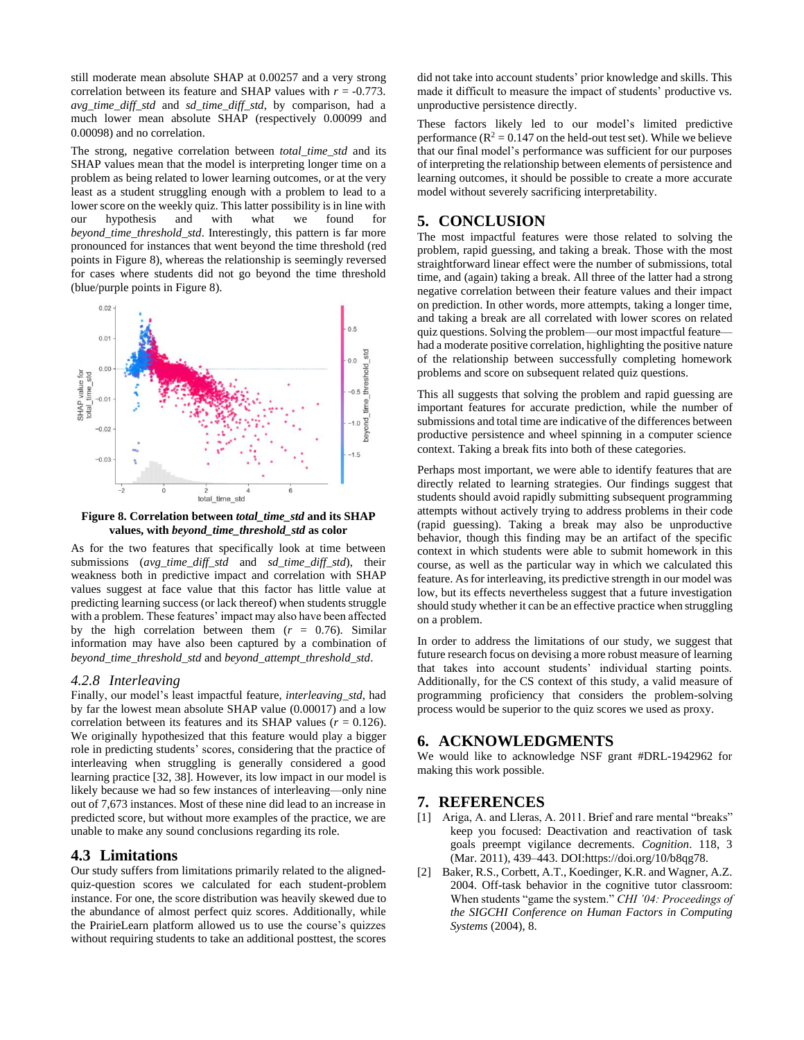still moderate mean absolute SHAP at 0.00257 and a very strong correlation between its feature and SHAP values with *r* = -0.773. *avg\_time\_diff\_std* and *sd\_time\_diff\_std*, by comparison, had a much lower mean absolute SHAP (respectively 0.00099 and 0.00098) and no correlation.

The strong, negative correlation between *total\_time\_std* and its SHAP values mean that the model is interpreting longer time on a problem as being related to lower learning outcomes, or at the very least as a student struggling enough with a problem to lead to a lower score on the weekly quiz. This latter possibility is in line with our hypothesis and with what we found for *beyond\_time\_threshold\_std*. Interestingly, this pattern is far more pronounced for instances that went beyond the time threshold (red points in Figure 8), whereas the relationship is seemingly reversed for cases where students did not go beyond the time threshold (blue/purple points in Figure 8).



**Figure 8. Correlation between** *total\_time\_std* **and its SHAP values, with** *beyond\_time\_threshold\_std* **as color**

As for the two features that specifically look at time between submissions (*avg\_time\_diff\_std* and *sd\_time\_diff\_std*), their weakness both in predictive impact and correlation with SHAP values suggest at face value that this factor has little value at predicting learning success (or lack thereof) when students struggle with a problem. These features' impact may also have been affected by the high correlation between them  $(r = 0.76)$ . Similar information may have also been captured by a combination of *beyond\_time\_threshold\_std* and *beyond\_attempt\_threshold\_std*.

#### *4.2.8 Interleaving*

Finally, our model's least impactful feature, *interleaving\_std*, had by far the lowest mean absolute SHAP value (0.00017) and a low correlation between its features and its SHAP values (*r* = 0.126). We originally hypothesized that this feature would play a bigger role in predicting students' scores, considering that the practice of interleaving when struggling is generally considered a good learning practice [32, 38]. However, its low impact in our model is likely because we had so few instances of interleaving—only nine out of 7,673 instances. Most of these nine did lead to an increase in predicted score, but without more examples of the practice, we are unable to make any sound conclusions regarding its role.

#### **4.3 Limitations**

Our study suffers from limitations primarily related to the alignedquiz-question scores we calculated for each student-problem instance. For one, the score distribution was heavily skewed due to the abundance of almost perfect quiz scores. Additionally, while the PrairieLearn platform allowed us to use the course's quizzes without requiring students to take an additional posttest, the scores

did not take into account students' prior knowledge and skills. This made it difficult to measure the impact of students' productive vs. unproductive persistence directly.

These factors likely led to our model's limited predictive performance ( $R^2 = 0.147$  on the held-out test set). While we believe that our final model's performance was sufficient for our purposes of interpreting the relationship between elements of persistence and learning outcomes, it should be possible to create a more accurate model without severely sacrificing interpretability.

#### **5. CONCLUSION**

The most impactful features were those related to solving the problem, rapid guessing, and taking a break. Those with the most straightforward linear effect were the number of submissions, total time, and (again) taking a break. All three of the latter had a strong negative correlation between their feature values and their impact on prediction. In other words, more attempts, taking a longer time, and taking a break are all correlated with lower scores on related quiz questions. Solving the problem—our most impactful feature had a moderate positive correlation, highlighting the positive nature of the relationship between successfully completing homework problems and score on subsequent related quiz questions.

This all suggests that solving the problem and rapid guessing are important features for accurate prediction, while the number of submissions and total time are indicative of the differences between productive persistence and wheel spinning in a computer science context. Taking a break fits into both of these categories.

Perhaps most important, we were able to identify features that are directly related to learning strategies. Our findings suggest that students should avoid rapidly submitting subsequent programming attempts without actively trying to address problems in their code (rapid guessing). Taking a break may also be unproductive behavior, though this finding may be an artifact of the specific context in which students were able to submit homework in this course, as well as the particular way in which we calculated this feature. As for interleaving, its predictive strength in our model was low, but its effects nevertheless suggest that a future investigation should study whether it can be an effective practice when struggling on a problem.

In order to address the limitations of our study, we suggest that future research focus on devising a more robust measure of learning that takes into account students' individual starting points. Additionally, for the CS context of this study, a valid measure of programming proficiency that considers the problem-solving process would be superior to the quiz scores we used as proxy.

#### **6. ACKNOWLEDGMENTS**

We would like to acknowledge NSF grant #DRL-1942962 for making this work possible.

#### **7. REFERENCES**

- [1] Ariga, A. and Lleras, A. 2011. Brief and rare mental "breaks" keep you focused: Deactivation and reactivation of task goals preempt vigilance decrements. *Cognition*. 118, 3 (Mar. 2011), 439–443. DOI:https://doi.org/10/b8qg78.
- [2] Baker, R.S., Corbett, A.T., Koedinger, K.R. and Wagner, A.Z. 2004. Off-task behavior in the cognitive tutor classroom: When students "game the system." *CHI '04: Proceedings of the SIGCHI Conference on Human Factors in Computing Systems* (2004), 8.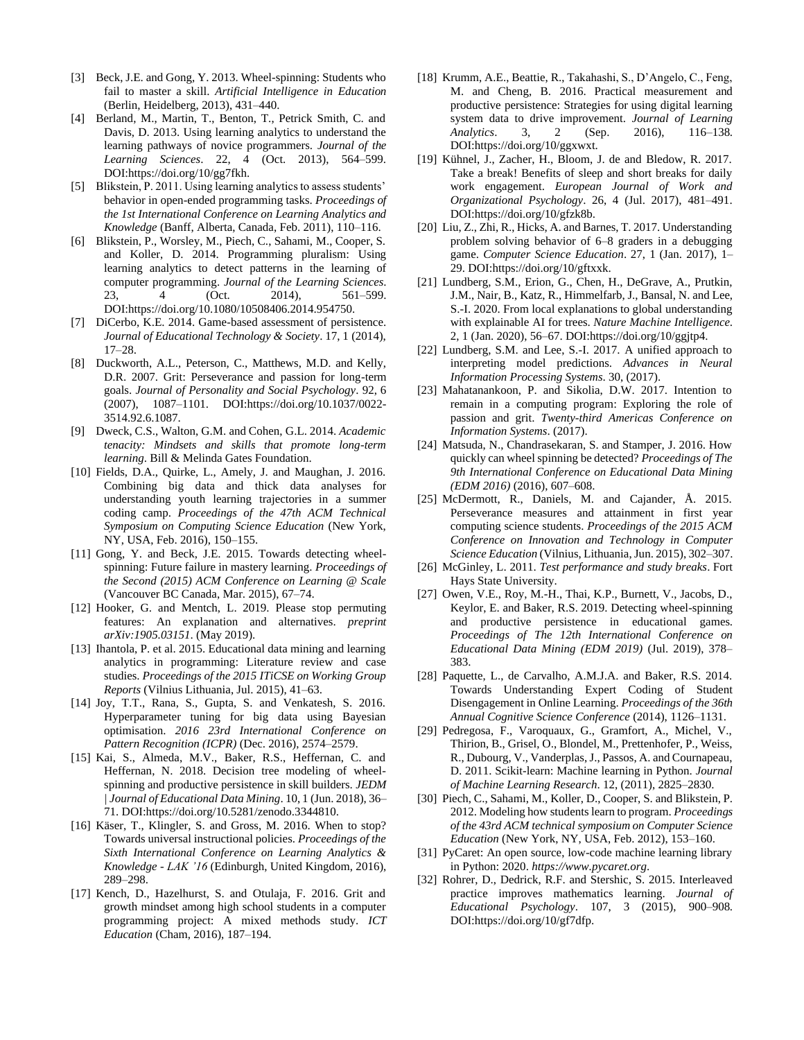- [3] Beck, J.E. and Gong, Y. 2013. Wheel-spinning: Students who fail to master a skill. *Artificial Intelligence in Education* (Berlin, Heidelberg, 2013), 431–440.
- [4] Berland, M., Martin, T., Benton, T., Petrick Smith, C. and Davis, D. 2013. Using learning analytics to understand the learning pathways of novice programmers. *Journal of the Learning Sciences*. 22, 4 (Oct. 2013), 564–599. DOI:https://doi.org/10/gg7fkh.
- [5] Blikstein, P. 2011. Using learning analytics to assess students' behavior in open-ended programming tasks. *Proceedings of the 1st International Conference on Learning Analytics and Knowledge* (Banff, Alberta, Canada, Feb. 2011), 110–116.
- [6] Blikstein, P., Worsley, M., Piech, C., Sahami, M., Cooper, S. and Koller, D. 2014. Programming pluralism: Using learning analytics to detect patterns in the learning of computer programming. *Journal of the Learning Sciences*. 23, 4 (Oct. 2014), 561–599. DOI:https://doi.org/10.1080/10508406.2014.954750.
- [7] DiCerbo, K.E. 2014. Game-based assessment of persistence. *Journal of Educational Technology & Society*. 17, 1 (2014), 17–28.
- [8] Duckworth, A.L., Peterson, C., Matthews, M.D. and Kelly, D.R. 2007. Grit: Perseverance and passion for long-term goals. *Journal of Personality and Social Psychology*. 92, 6 (2007), 1087–1101. DOI:https://doi.org/10.1037/0022- 3514.92.6.1087.
- [9] Dweck, C.S., Walton, G.M. and Cohen, G.L. 2014. *Academic tenacity: Mindsets and skills that promote long-term learning*. Bill & Melinda Gates Foundation.
- [10] Fields, D.A., Quirke, L., Amely, J. and Maughan, J. 2016. Combining big data and thick data analyses for understanding youth learning trajectories in a summer coding camp. *Proceedings of the 47th ACM Technical Symposium on Computing Science Education* (New York, NY, USA, Feb. 2016), 150–155.
- [11] Gong, Y. and Beck, J.E. 2015. Towards detecting wheelspinning: Future failure in mastery learning. *Proceedings of the Second (2015) ACM Conference on Learning @ Scale* (Vancouver BC Canada, Mar. 2015), 67–74.
- [12] Hooker, G. and Mentch, L. 2019. Please stop permuting features: An explanation and alternatives. *preprint arXiv:1905.03151*. (May 2019).
- [13] Ihantola, P. et al. 2015. Educational data mining and learning analytics in programming: Literature review and case studies. *Proceedings of the 2015 ITiCSE on Working Group Reports* (Vilnius Lithuania, Jul. 2015), 41–63.
- [14] Joy, T.T., Rana, S., Gupta, S. and Venkatesh, S. 2016. Hyperparameter tuning for big data using Bayesian optimisation. *2016 23rd International Conference on Pattern Recognition (ICPR)* (Dec. 2016), 2574–2579.
- [15] Kai, S., Almeda, M.V., Baker, R.S., Heffernan, C. and Heffernan, N. 2018. Decision tree modeling of wheelspinning and productive persistence in skill builders. *JEDM | Journal of Educational Data Mining*. 10, 1 (Jun. 2018), 36– 71. DOI:https://doi.org/10.5281/zenodo.3344810.
- [16] Käser, T., Klingler, S. and Gross, M. 2016. When to stop? Towards universal instructional policies. *Proceedings of the Sixth International Conference on Learning Analytics & Knowledge - LAK '16* (Edinburgh, United Kingdom, 2016), 289–298.
- [17] Kench, D., Hazelhurst, S. and Otulaja, F. 2016. Grit and growth mindset among high school students in a computer programming project: A mixed methods study. *ICT Education* (Cham, 2016), 187–194.
- [18] Krumm, A.E., Beattie, R., Takahashi, S., D'Angelo, C., Feng, M. and Cheng, B. 2016. Practical measurement and productive persistence: Strategies for using digital learning system data to drive improvement. *Journal of Learning Analytics*. 3, 2 (Sep. 2016), 116–138. DOI:https://doi.org/10/ggxwxt.
- [19] Kühnel, J., Zacher, H., Bloom, J. de and Bledow, R. 2017. Take a break! Benefits of sleep and short breaks for daily work engagement. *European Journal of Work and Organizational Psychology*. 26, 4 (Jul. 2017), 481–491. DOI:https://doi.org/10/gfzk8b.
- [20] Liu, Z., Zhi, R., Hicks, A. and Barnes, T. 2017. Understanding problem solving behavior of 6–8 graders in a debugging game. *Computer Science Education*. 27, 1 (Jan. 2017), 1– 29. DOI:https://doi.org/10/gftxxk.
- [21] Lundberg, S.M., Erion, G., Chen, H., DeGrave, A., Prutkin, J.M., Nair, B., Katz, R., Himmelfarb, J., Bansal, N. and Lee, S.-I. 2020. From local explanations to global understanding with explainable AI for trees. *Nature Machine Intelligence*. 2, 1 (Jan. 2020), 56–67. DOI:https://doi.org/10/ggjtp4.
- [22] Lundberg, S.M. and Lee, S.-I. 2017. A unified approach to interpreting model predictions. *Advances in Neural Information Processing Systems*. 30, (2017).
- [23] Mahatanankoon, P. and Sikolia, D.W. 2017. Intention to remain in a computing program: Exploring the role of passion and grit. *Twenty-third Americas Conference on Information Systems*. (2017).
- [24] Matsuda, N., Chandrasekaran, S. and Stamper, J. 2016. How quickly can wheel spinning be detected? *Proceedings of The 9th International Conference on Educational Data Mining (EDM 2016)* (2016), 607–608.
- [25] McDermott, R., Daniels, M. and Cajander, Å. 2015. Perseverance measures and attainment in first year computing science students. *Proceedings of the 2015 ACM Conference on Innovation and Technology in Computer Science Education* (Vilnius, Lithuania, Jun. 2015), 302–307.
- [26] McGinley, L. 2011. *Test performance and study breaks*. Fort Hays State University.
- [27] Owen, V.E., Roy, M.-H., Thai, K.P., Burnett, V., Jacobs, D., Keylor, E. and Baker, R.S. 2019. Detecting wheel-spinning and productive persistence in educational games. *Proceedings of The 12th International Conference on Educational Data Mining (EDM 2019)* (Jul. 2019), 378– 383.
- [28] Paquette, L., de Carvalho, A.M.J.A. and Baker, R.S. 2014. Towards Understanding Expert Coding of Student Disengagement in Online Learning. *Proceedings of the 36th Annual Cognitive Science Conference* (2014), 1126–1131.
- [29] Pedregosa, F., Varoquaux, G., Gramfort, A., Michel, V., Thirion, B., Grisel, O., Blondel, M., Prettenhofer, P., Weiss, R., Dubourg, V., Vanderplas, J., Passos, A. and Cournapeau, D. 2011. Scikit-learn: Machine learning in Python. *Journal of Machine Learning Research*. 12, (2011), 2825–2830.
- [30] Piech, C., Sahami, M., Koller, D., Cooper, S. and Blikstein, P. 2012. Modeling how students learn to program. *Proceedings of the 43rd ACM technical symposium on Computer Science Education* (New York, NY, USA, Feb. 2012), 153–160.
- [31] PyCaret: An open source, low-code machine learning library in Python: 2020. *https://www.pycaret.org*.
- [32] Rohrer, D., Dedrick, R.F. and Stershic, S. 2015. Interleaved practice improves mathematics learning. *Journal of Educational Psychology*. 107, 3 (2015), 900–908. DOI:https://doi.org/10/gf7dfp.